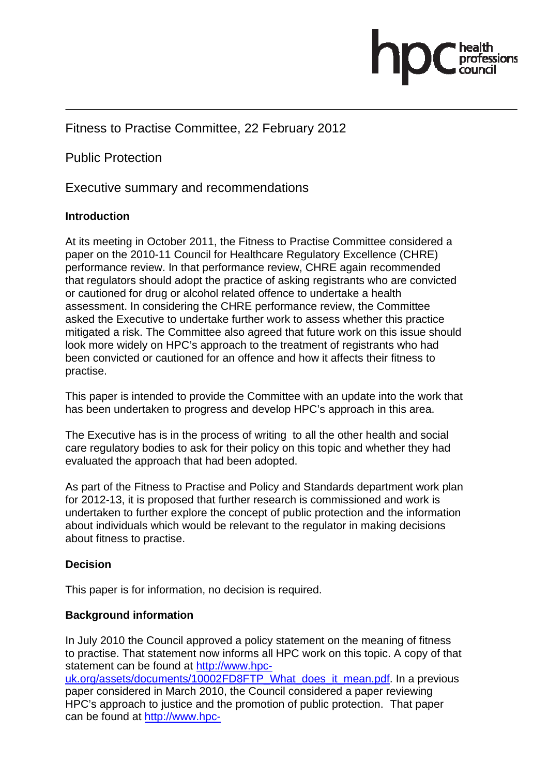

# Fitness to Practise Committee, 22 February 2012

Public Protection

Executive summary and recommendations

### **Introduction**

At its meeting in October 2011, the Fitness to Practise Committee considered a paper on the 2010-11 Council for Healthcare Regulatory Excellence (CHRE) performance review. In that performance review, CHRE again recommended that regulators should adopt the practice of asking registrants who are convicted or cautioned for drug or alcohol related offence to undertake a health assessment. In considering the CHRE performance review, the Committee asked the Executive to undertake further work to assess whether this practice mitigated a risk. The Committee also agreed that future work on this issue should look more widely on HPC's approach to the treatment of registrants who had been convicted or cautioned for an offence and how it affects their fitness to practise.

This paper is intended to provide the Committee with an update into the work that has been undertaken to progress and develop HPC's approach in this area.

The Executive has is in the process of writing to all the other health and social care regulatory bodies to ask for their policy on this topic and whether they had evaluated the approach that had been adopted.

As part of the Fitness to Practise and Policy and Standards department work plan for 2012-13, it is proposed that further research is commissioned and work is undertaken to further explore the concept of public protection and the information about individuals which would be relevant to the regulator in making decisions about fitness to practise.

#### **Decision**

This paper is for information, no decision is required.

#### **Background information**

In July 2010 the Council approved a policy statement on the meaning of fitness to practise. That statement now informs all HPC work on this topic. A copy of that statement can be found at http://www.hpc-

uk.org/assets/documents/10002FD8FTP\_What\_does\_it\_mean.pdf. In a previous paper considered in March 2010, the Council considered a paper reviewing HPC's approach to justice and the promotion of public protection.That paper can be found at http://www.hpc